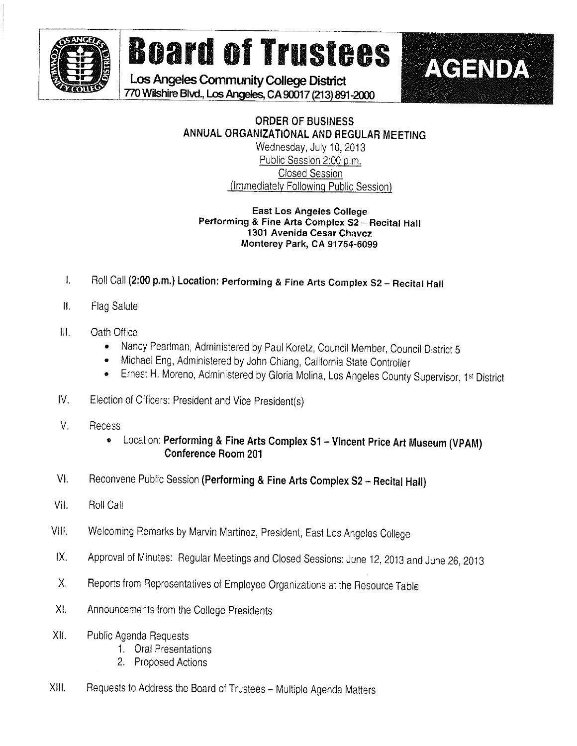

# **Board of Trustees**

Los Angeles Community College District 770 Wilshire Blvd., Los Angeles, CA^OOt 7 (213) 891-2000

### ORDER OF BUSINESS ANNUAL ORGANIZATIONAL AND REGULAR MEETING Wednesday, July 10, 2013 Public Session 2:00 p.m.

A GENDA

Closed Session (immediately Foliowino Public Session)

#### East Los Angeles College Performing & Fine Arts Complex S2- Recital Hall 1301 Avenida Cesar Chavez Monterey Park, CA 91754-6099

- I. Roll Call (2:00 p.m.) Location: Performing & Fine Arts Complex S2 Recital Hall
- $\parallel$ . Flag Salute
- $\mathbf{III}$ . Oath Office
	- Nancy Pearlman, Administered by Paul Koretz, Council Member, Council District 5 »
	- Michael Eng, Administered by John Chiang, California State Controller
	- **Ernest H. Moreno, Administered by Gloria Molina, Los Angeles County Supervisor, 1st District**
- fV. Election of Officers: President and Vice President(s)
- V. Recess
	- Location: Performing & Fine Arts Complex S1 Vincent Price Art Museum (VPAM) Conference Room 201
- VI. Reconvene Public Session (Performing & Fine Arts Complex S2 Recital Hall)
- VII. Roll Call
- VIII. Welcoming Remarks by Marvin Martinez, President, East Los Angeles College
- X. Approval of Minutes: Regular Meetings and Closed Sessions: June 12, 2013 and June 26,2013
- X. Reports from Representatives of Employee Organizations at the Resource Table
- X!, Announcements from the College Presidents
- Xl!. Pub!ic Agenda Requests
	- 1. Orai Presentations
	- 2. Proposed Actions
- XIII. Requests to Address the Board of Trustees Multiple Agenda Matters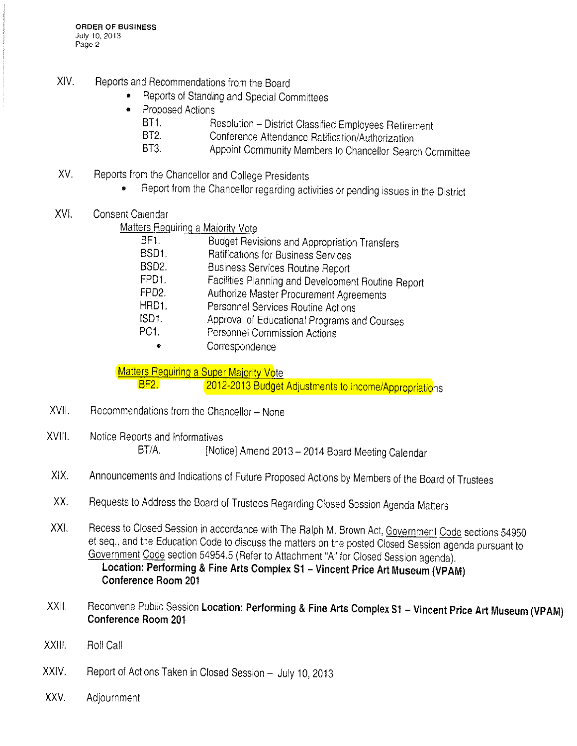- X!V. Reports and Recommendations from the Board
	- Reports of Standing and Special Committees
	- Proposed Actions
		- BT1. Resolution District Classified Employees Retirement<br>BT2. Conference Attendance Batification/Authorization
		- Conference Attendance Ratification/Authorization
		- BT3. Appoint Community Members to Chancellor Search Committee
- XV. Reports from the Chancellor and College Presidents
	- Report from the Chancellor regarding activities or pending issues in the District
- XV!. Consent Calendar

Matters Requiring a Majority Vote

| BF1.               | Budget Revisions and Appropriation Transfers       |
|--------------------|----------------------------------------------------|
| BSD1.              | Ratifications for Business Services                |
| BSD <sub>2</sub> . | <b>Business Services Routine Report</b>            |
| FPD1.              | Facilities Planning and Development Routine Report |
| FPD <sub>2</sub>   | Authorize Master Procurement Agreements            |
| HRD1.              | Personnel Services Routine Actions                 |
| ISD <sub>1</sub>   | Approval of Educational Programs and Courses       |
| PC <sub>1</sub>    | Personnel Commission Actions                       |
| ۰                  | Correspondence                                     |

Matters Requiring a Super Majority Vote<br>BF2. 2012-2013 Budget

2012-2013 Budget Adjustments to Income/Appropriations

- XVII. Recommendations from the Chancellor None
- XVIII. Notice Reports and Informatives BT/A. [Notice] Amend 2013 - 2014 Board Meeting Calendar
- X!X. Announcements and indications of Future Proposed Actions by Members of the Board of Trustees
- XX. Requests to Address the Board of Trustees Regarding Closed Session Agenda Matters
- XXI. Recess to Closed Session in accordance with The Ralph M. Brown Act, Government Code sections 54950 et seq., and the Education Code to discuss the matters on the posted Closed Session agenda pursuant to Government Code section 54954.5 (Refer to Attachment "A" for Ciosed Session agenda). Location: Performing & Fine Arts Complex St - Vincent Price Art Museum (VPAM) Conference Room 201
- XXII. Reconvene Public Session Location: Performing & Fine Arts Complex S1 Vincent Price Art Museum (VPAM) Conference Room 201
- XXIII. Roll Call
- XXIV. Report of Actions Taken in Closed Session July 10, 2013
- XXV. Adjournment